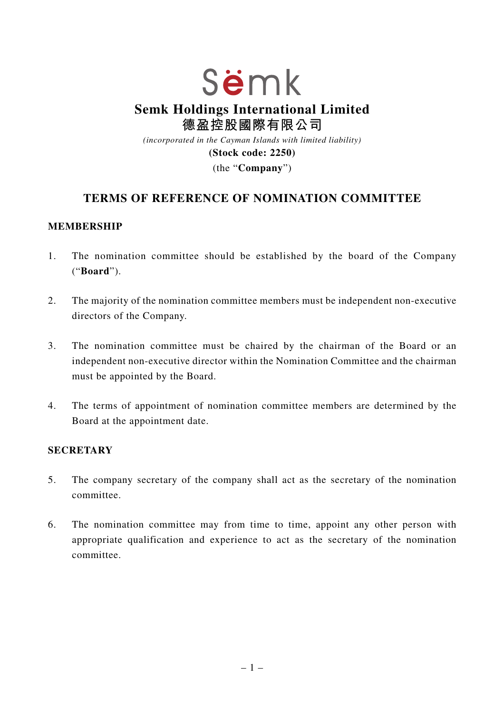# Sëmk **Semk Holdings International Limited 德盈控股國際有限公司** *(incorporated in the Cayman Islands with limited liability)*

**(Stock code: 2250)**

(the "**Company**")

## **TERMS OF REFERENCE OF NOMINATION COMMITTEE**

#### **MEMBERSHIP**

- 1. The nomination committee should be established by the board of the Company ("**Board**").
- 2. The majority of the nomination committee members must be independent non-executive directors of the Company.
- 3. The nomination committee must be chaired by the chairman of the Board or an independent non-executive director within the Nomination Committee and the chairman must be appointed by the Board.
- 4. The terms of appointment of nomination committee members are determined by the Board at the appointment date.

#### **SECRETARY**

- 5. The company secretary of the company shall act as the secretary of the nomination committee.
- 6. The nomination committee may from time to time, appoint any other person with appropriate qualification and experience to act as the secretary of the nomination committee.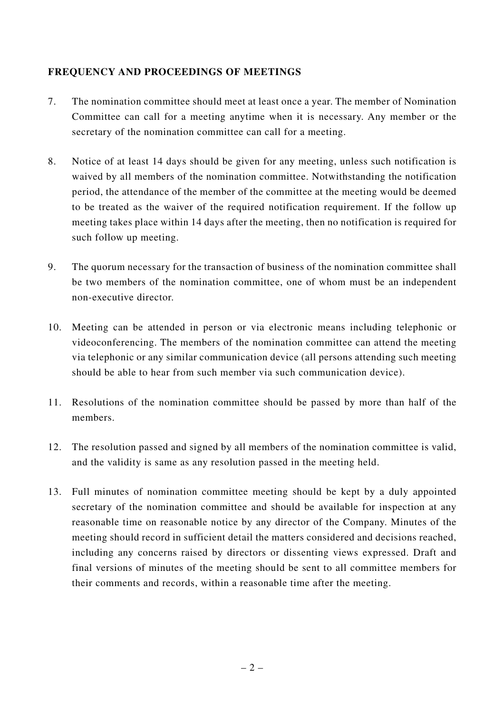### **FREQUENCY AND PROCEEDINGS OF MEETINGS**

- 7. The nomination committee should meet at least once a year. The member of Nomination Committee can call for a meeting anytime when it is necessary. Any member or the secretary of the nomination committee can call for a meeting.
- 8. Notice of at least 14 days should be given for any meeting, unless such notification is waived by all members of the nomination committee. Notwithstanding the notification period, the attendance of the member of the committee at the meeting would be deemed to be treated as the waiver of the required notification requirement. If the follow up meeting takes place within 14 days after the meeting, then no notification is required for such follow up meeting.
- 9. The quorum necessary for the transaction of business of the nomination committee shall be two members of the nomination committee, one of whom must be an independent non-executive director.
- 10. Meeting can be attended in person or via electronic means including telephonic or videoconferencing. The members of the nomination committee can attend the meeting via telephonic or any similar communication device (all persons attending such meeting should be able to hear from such member via such communication device).
- 11. Resolutions of the nomination committee should be passed by more than half of the members.
- 12. The resolution passed and signed by all members of the nomination committee is valid, and the validity is same as any resolution passed in the meeting held.
- 13. Full minutes of nomination committee meeting should be kept by a duly appointed secretary of the nomination committee and should be available for inspection at any reasonable time on reasonable notice by any director of the Company. Minutes of the meeting should record in sufficient detail the matters considered and decisions reached, including any concerns raised by directors or dissenting views expressed. Draft and final versions of minutes of the meeting should be sent to all committee members for their comments and records, within a reasonable time after the meeting.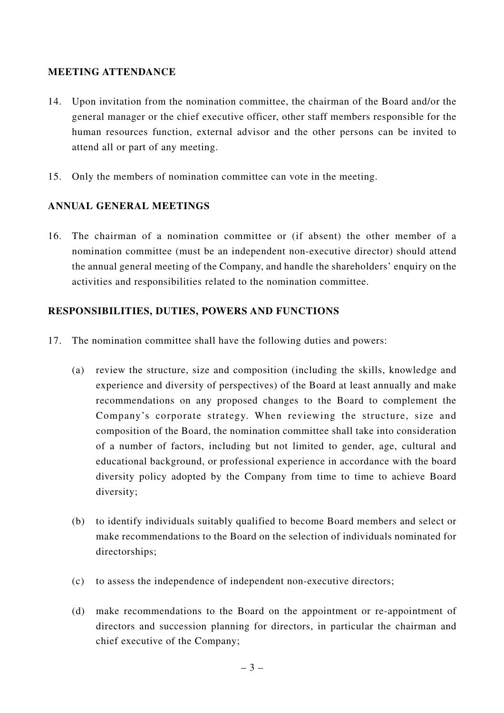#### **MEETING ATTENDANCE**

- 14. Upon invitation from the nomination committee, the chairman of the Board and/or the general manager or the chief executive officer, other staff members responsible for the human resources function, external advisor and the other persons can be invited to attend all or part of any meeting.
- 15. Only the members of nomination committee can vote in the meeting.

### **ANNUAL GENERAL MEETINGS**

16. The chairman of a nomination committee or (if absent) the other member of a nomination committee (must be an independent non-executive director) should attend the annual general meeting of the Company, and handle the shareholders' enquiry on the activities and responsibilities related to the nomination committee.

#### **RESPONSIBILITIES, DUTIES, POWERS AND FUNCTIONS**

- 17. The nomination committee shall have the following duties and powers:
	- (a) review the structure, size and composition (including the skills, knowledge and experience and diversity of perspectives) of the Board at least annually and make recommendations on any proposed changes to the Board to complement the Company's corporate strategy. When reviewing the structure, size and composition of the Board, the nomination committee shall take into consideration of a number of factors, including but not limited to gender, age, cultural and educational background, or professional experience in accordance with the board diversity policy adopted by the Company from time to time to achieve Board diversity;
	- (b) to identify individuals suitably qualified to become Board members and select or make recommendations to the Board on the selection of individuals nominated for directorships;
	- (c) to assess the independence of independent non-executive directors;
	- (d) make recommendations to the Board on the appointment or re-appointment of directors and succession planning for directors, in particular the chairman and chief executive of the Company;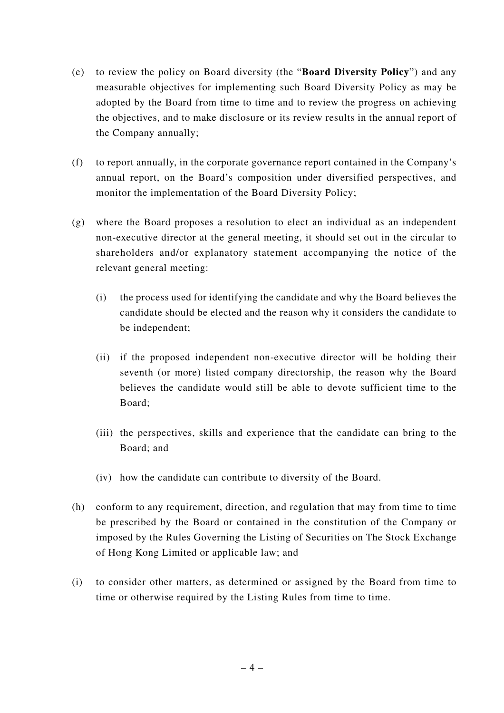- (e) to review the policy on Board diversity (the "**Board Diversity Policy**") and any measurable objectives for implementing such Board Diversity Policy as may be adopted by the Board from time to time and to review the progress on achieving the objectives, and to make disclosure or its review results in the annual report of the Company annually;
- (f) to report annually, in the corporate governance report contained in the Company's annual report, on the Board's composition under diversified perspectives, and monitor the implementation of the Board Diversity Policy;
- (g) where the Board proposes a resolution to elect an individual as an independent non-executive director at the general meeting, it should set out in the circular to shareholders and/or explanatory statement accompanying the notice of the relevant general meeting:
	- (i) the process used for identifying the candidate and why the Board believes the candidate should be elected and the reason why it considers the candidate to be independent;
	- (ii) if the proposed independent non-executive director will be holding their seventh (or more) listed company directorship, the reason why the Board believes the candidate would still be able to devote sufficient time to the Board;
	- (iii) the perspectives, skills and experience that the candidate can bring to the Board; and
	- (iv) how the candidate can contribute to diversity of the Board.
- (h) conform to any requirement, direction, and regulation that may from time to time be prescribed by the Board or contained in the constitution of the Company or imposed by the Rules Governing the Listing of Securities on The Stock Exchange of Hong Kong Limited or applicable law; and
- (i) to consider other matters, as determined or assigned by the Board from time to time or otherwise required by the Listing Rules from time to time.